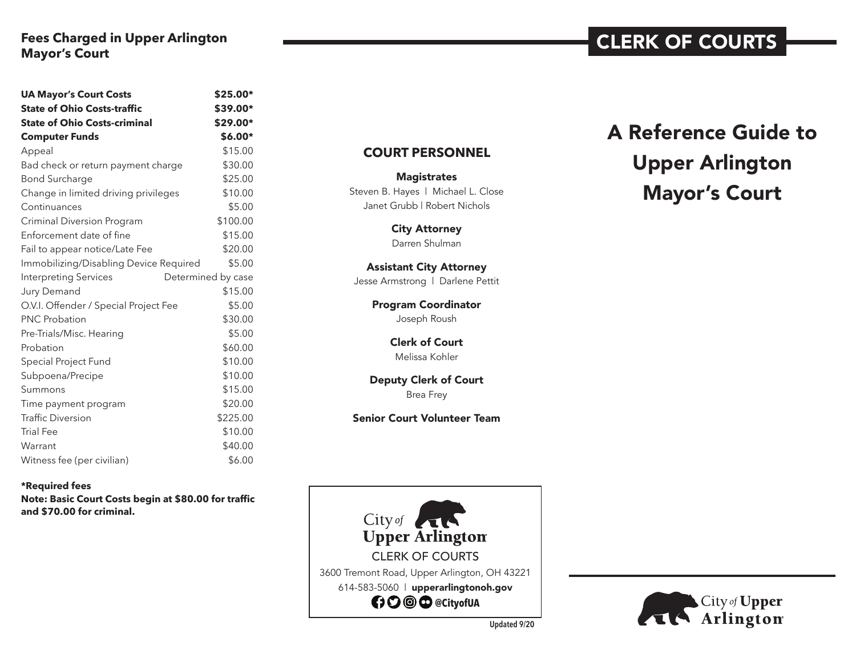# **Fees Charged in Upper Arlington Mayor's Court**

| <b>UA Mayor's Court Costs</b>                      | \$25.00* |
|----------------------------------------------------|----------|
| <b>State of Ohio Costs-traffic</b>                 | \$39.00* |
| <b>State of Ohio Costs-criminal</b>                | \$29.00* |
| <b>Computer Funds</b>                              | $$6.00*$ |
| Appeal                                             | \$15.00  |
| Bad check or return payment charge                 | \$30.00  |
| <b>Bond Surcharge</b>                              | \$25.00  |
| Change in limited driving privileges               | \$10.00  |
| Continuances                                       | \$5.00   |
| <b>Criminal Diversion Program</b>                  | \$100.00 |
| Enforcement date of fine                           | \$15.00  |
| Fail to appear notice/Late Fee                     | \$20.00  |
| Immobilizing/Disabling Device Required             | \$5.00   |
| <b>Interpreting Services</b><br>Determined by case |          |
| Jury Demand                                        | \$15.00  |
| O.V.I. Offender / Special Project Fee              | \$5.00   |
| <b>PNC Probation</b>                               | \$30.00  |
| Pre-Trials/Misc. Hearing                           | \$5.00   |
| Probation                                          | \$60.00  |
| Special Project Fund                               | \$10.00  |
| Subpoena/Precipe                                   | \$10.00  |
| Summons                                            | \$15.00  |
| Time payment program                               | \$20.00  |
| <b>Traffic Diversion</b>                           | \$225.00 |
| <b>Trial Fee</b>                                   | \$10.00  |
| Warrant                                            | \$40.00  |
| Witness fee (per civilian)                         | \$6.00   |

**\*Required fees Note: Basic Court Costs begin at \$80.00 for traffic and \$70.00 for criminal.** 

#### **COURT PERSONNEL**

**Magistrates** Steven B. Hayes | Michael L. Close Janet Grubb | Robert Nichols

> City Attorney Darren Shulman

# Assistant City Attorney

Jesse Armstrong | Darlene Pettit

Program Coordinator Joseph Roush

> Clerk of Court Melissa Kohler

Deputy Clerk of Court Brea Frey

Senior Court Volunteer Team



# A Reference Guide to Upper Arlington Mayor's Court

CLERK OF COURTS



**Updated 9/20**